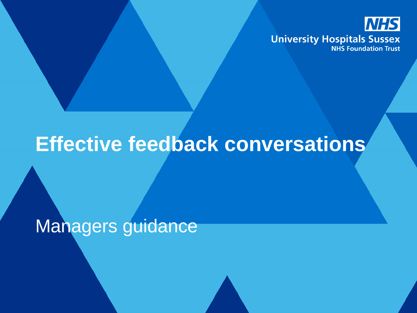

# **Effective feedback conversations**

Managers guidance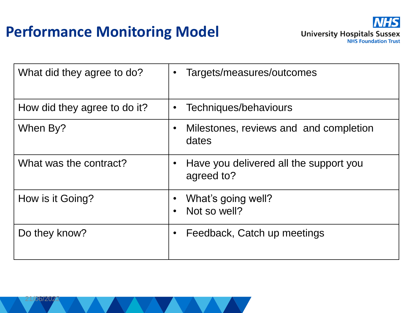### **Performance Monitoring Model**



| What did they agree to do?   | Targets/measures/outcomes<br>$\bullet$                            |
|------------------------------|-------------------------------------------------------------------|
| How did they agree to do it? | Techniques/behaviours<br>$\bullet$                                |
| When By?                     | Milestones, reviews and and completion<br>$\bullet$<br>dates      |
| What was the contract?       | Have you delivered all the support you<br>$\bullet$<br>agreed to? |
| How is it Going?             | What's going well?<br>Not so well?<br>$\bullet$                   |
| Do they know?                | Feedback, Catch up meetings<br>$\bullet$                          |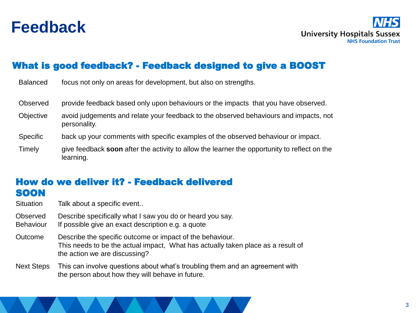

**University Hospitals Sussex NHS Foundation Trust** 

#### What is good feedback? - Feedback designed to give a BOOST

| <b>Balanced</b>  | focus not only on areas for development, but also on strengths.                                           |
|------------------|-----------------------------------------------------------------------------------------------------------|
| Observed         | provide feedback based only upon behaviours or the impacts that you have observed.                        |
| <b>Objective</b> | avoid judgements and relate your feedback to the observed behaviours and impacts, not<br>personality.     |
| <b>Specific</b>  | back up your comments with specific examples of the observed behaviour or impact.                         |
| Timely           | give feedback soon after the activity to allow the learner the opportunity to reflect on the<br>learning. |

#### How do we deliver it? - Feedback delivered SOON

Situation Talk about a specific event..

- Observed Describe specifically what I saw you do or heard you say.
- Behaviour If possible give an exact description e.g. a quote
- Outcome Describe the specific outcome or impact of the behaviour. This needs to be the actual impact, What has actually taken place as a result of the action we are discussing?
- Next Steps This can involve questions about what's troubling them and an agreement with the person about how they will behave in future.

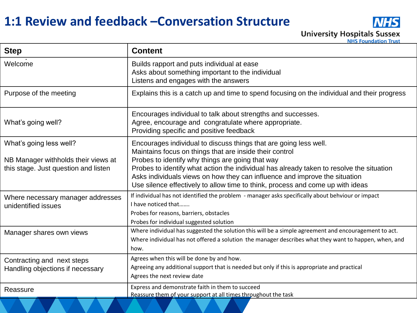### **1:1 Review and feedback –Conversation Structure**



| <b>Step</b>                                                                                            | <b>Content</b>                                                                                                                                                                                                                                                                                                                                                                                                                               |
|--------------------------------------------------------------------------------------------------------|----------------------------------------------------------------------------------------------------------------------------------------------------------------------------------------------------------------------------------------------------------------------------------------------------------------------------------------------------------------------------------------------------------------------------------------------|
| Welcome                                                                                                | Builds rapport and puts individual at ease<br>Asks about something important to the individual<br>Listens and engages with the answers                                                                                                                                                                                                                                                                                                       |
| Purpose of the meeting                                                                                 | Explains this is a catch up and time to spend focusing on the individual and their progress                                                                                                                                                                                                                                                                                                                                                  |
| What's going well?                                                                                     | Encourages individual to talk about strengths and successes.<br>Agree, encourage and congratulate where appropriate.<br>Providing specific and positive feedback                                                                                                                                                                                                                                                                             |
| What's going less well?<br>NB Manager withholds their views at<br>this stage. Just question and listen | Encourages individual to discuss things that are going less well.<br>Maintains focus on things that are inside their control<br>Probes to identify why things are going that way<br>Probes to identify what action the individual has already taken to resolve the situation<br>Asks individuals views on how they can influence and improve the situation<br>Use silence effectively to allow time to think, process and come up with ideas |
| Where necessary manager addresses<br>unidentified issues                                               | If individual has not identified the problem - manager asks specifically about behviour or impact<br>I have noticed that<br>Probes for reasons, barriers, obstacles<br>Probes for individual suggested solution                                                                                                                                                                                                                              |
| Manager shares own views                                                                               | Where individual has suggested the solution this will be a simple agreement and encouragement to act.<br>Where individual has not offered a solution the manager describes what they want to happen, when, and<br>how.                                                                                                                                                                                                                       |
| Contracting and next steps<br>Handling objections if necessary                                         | Agrees when this will be done by and how.<br>Agreeing any additional support that is needed but only if this is appropriate and practical<br>Agrees the next review date                                                                                                                                                                                                                                                                     |
| Reassure                                                                                               | Express and demonstrate faith in them to succeed<br>Reassure them of your support at all times throughout the task                                                                                                                                                                                                                                                                                                                           |